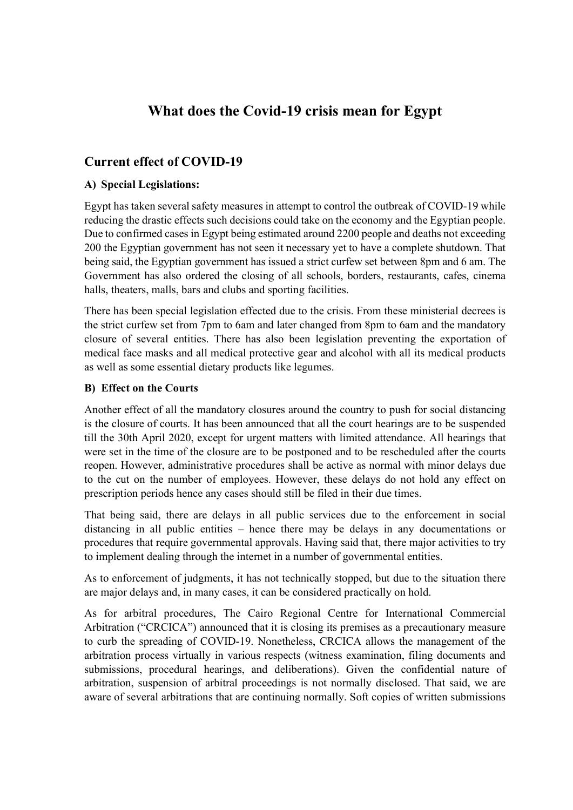# What does the Covid-19 crisis mean for Egypt

### Current effect of COVID-19

### A) Special Legislations:

Egypt has taken several safety measures in attempt to control the outbreak of COVID-19 while reducing the drastic effects such decisions could take on the economy and the Egyptian people. Due to confirmed cases in Egypt being estimated around 2200 people and deaths not exceeding 200 the Egyptian government has not seen it necessary yet to have a complete shutdown. That being said, the Egyptian government has issued a strict curfew set between 8pm and 6 am. The Government has also ordered the closing of all schools, borders, restaurants, cafes, cinema halls, theaters, malls, bars and clubs and sporting facilities.

There has been special legislation effected due to the crisis. From these ministerial decrees is the strict curfew set from 7pm to 6am and later changed from 8pm to 6am and the mandatory closure of several entities. There has also been legislation preventing the exportation of medical face masks and all medical protective gear and alcohol with all its medical products as well as some essential dietary products like legumes.

#### B) Effect on the Courts

Another effect of all the mandatory closures around the country to push for social distancing is the closure of courts. It has been announced that all the court hearings are to be suspended till the 30th April 2020, except for urgent matters with limited attendance. All hearings that were set in the time of the closure are to be postponed and to be rescheduled after the courts reopen. However, administrative procedures shall be active as normal with minor delays due to the cut on the number of employees. However, these delays do not hold any effect on prescription periods hence any cases should still be filed in their due times.

That being said, there are delays in all public services due to the enforcement in social distancing in all public entities – hence there may be delays in any documentations or procedures that require governmental approvals. Having said that, there major activities to try to implement dealing through the internet in a number of governmental entities.

As to enforcement of judgments, it has not technically stopped, but due to the situation there are major delays and, in many cases, it can be considered practically on hold.

As for arbitral procedures, The Cairo Regional Centre for International Commercial Arbitration ("CRCICA") announced that it is closing its premises as a precautionary measure to curb the spreading of COVID-19. Nonetheless, CRCICA allows the management of the arbitration process virtually in various respects (witness examination, filing documents and submissions, procedural hearings, and deliberations). Given the confidential nature of arbitration, suspension of arbitral proceedings is not normally disclosed. That said, we are aware of several arbitrations that are continuing normally. Soft copies of written submissions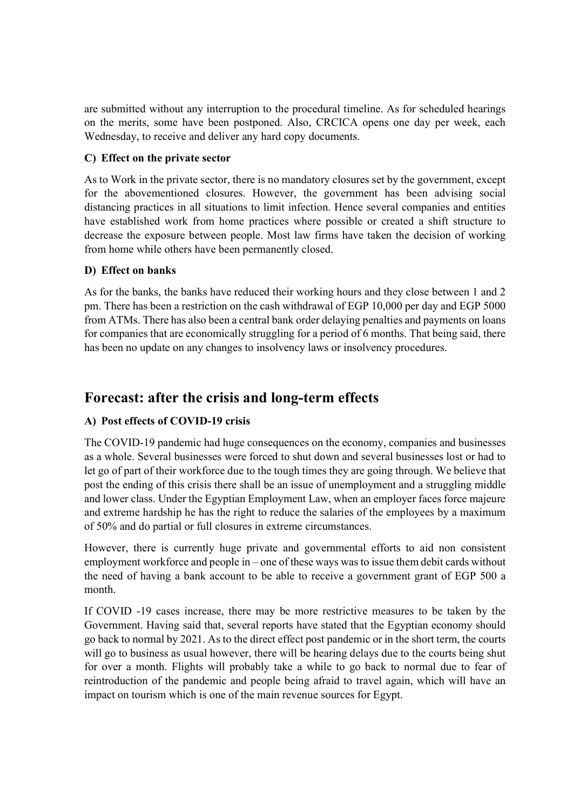are submitted without any interruption to the procedural timeline. As for scheduled hearings on the merits, some have been postponed. Also, CRCICA opens one day per week, each Wednesday, to receive and deliver any hard copy documents.

### C) Effect on the private sector

As to Work in the private sector, there is no mandatory closures set by the government, except for the abovementioned closures. However, the government has been advising social distancing practices in all situations to limit infection. Hence several companies and entities have established work from home practices where possible or created a shift structure to decrease the exposure between people. Most law firms have taken the decision of working from home while others have been permanently closed.

### D) Effect on banks

As for the banks, the banks have reduced their working hours and they close between 1 and 2 pm. There has been a restriction on the cash withdrawal of EGP 10,000 per day and EGP 5000 from ATMs. There has also been a central bank order delaying penalties and payments on loans for companies that are economically struggling for a period of 6 months. That being said, there has been no update on any changes to insolvency laws or insolvency procedures.

## Forecast: after the crisis and long-term effects

### A) Post effects of COVID-19 crisis

The COVID-19 pandemic had huge consequences on the economy, companies and businesses as a whole. Several businesses were forced to shut down and several businesses lost or had to let go of part of their workforce due to the tough times they are going through. We believe that post the ending of this crisis there shall be an issue of unemployment and a struggling middle and lower class. Under the Egyptian Employment Law, when an employer faces force majeure and extreme hardship he has the right to reduce the salaries of the employees by a maximum of 50% and do partial or full closures in extreme circumstances.

However, there is currently huge private and governmental efforts to aid non consistent employment workforce and people in – one of these ways was to issue them debit cards without the need of having a bank account to be able to receive a government grant of EGP 500 a month.

If COVID -19 cases increase, there may be more restrictive measures to be taken by the Government. Having said that, several reports have stated that the Egyptian economy should go back to normal by 2021. As to the direct effect post pandemic or in the short term, the courts will go to business as usual however, there will be hearing delays due to the courts being shut for over a month. Flights will probably take a while to go back to normal due to fear of reintroduction of the pandemic and people being afraid to travel again, which will have an impact on tourism which is one of the main revenue sources for Egypt.